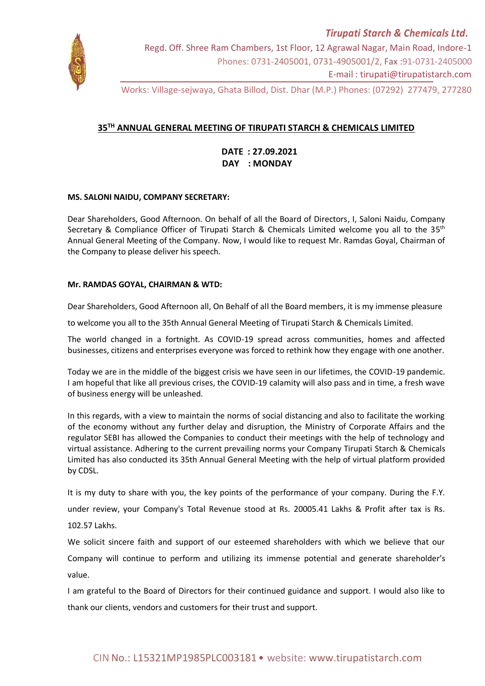

Regd. Off. Shree Ram Chambers, 1st Floor, 12 Agrawal Nagar, Main Road, Indore-1 Phones: 0731-2405001, 0731-4905001/2, Fax :91-0731-2405000 E-mail : tirupati@tirupatistarch.com

Works: Village-sejwaya, Ghata Billod, Dist. Dhar (M.P.) Phones: (07292) 277479, 277280

# **35TH ANNUAL GENERAL MEETING OF TIRUPATI STARCH & CHEMICALS LIMITED**

 **DATE : 27.09.2021 DAY : MONDAY**

# **MS. SALONI NAIDU, COMPANY SECRETARY:**

Dear Shareholders, Good Afternoon. On behalf of all the Board of Directors, I, Saloni Naidu, Company Secretary & Compliance Officer of Tirupati Starch & Chemicals Limited welcome you all to the 35<sup>th</sup> Annual General Meeting of the Company. Now, I would like to request Mr. Ramdas Goyal, Chairman of the Company to please deliver his speech.

## **Mr. RAMDAS GOYAL, CHAIRMAN & WTD:**

Dear Shareholders, Good Afternoon all, On Behalf of all the Board members, it is my immense pleasure

to welcome you all to the 35th Annual General Meeting of Tirupati Starch & Chemicals Limited.

The world changed in a fortnight. As COVID-19 spread across communities, homes and affected businesses, citizens and enterprises everyone was forced to rethink how they engage with one another.

Today we are in the middle of the biggest crisis we have seen in our lifetimes, the COVID-19 pandemic. I am hopeful that like all previous crises, the COVID-19 calamity will also pass and in time, a fresh wave of business energy will be unleashed.

In this regards, with a view to maintain the norms of social distancing and also to facilitate the working of the economy without any further delay and disruption, the Ministry of Corporate Affairs and the regulator SEBI has allowed the Companies to conduct their meetings with the help of technology and virtual assistance. Adhering to the current prevailing norms your Company Tirupati Starch & Chemicals Limited has also conducted its 35th Annual General Meeting with the help of virtual platform provided by CDSL.

It is my duty to share with you, the key points of the performance of your company. During the F.Y.

under review, your Company's Total Revenue stood at Rs. 20005.41 Lakhs & Profit after tax is Rs.

102.57 Lakhs.

We solicit sincere faith and support of our esteemed shareholders with which we believe that our

Company will continue to perform and utilizing its immense potential and generate shareholder's value.

I am grateful to the Board of Directors for their continued guidance and support. I would also like to thank our clients, vendors and customers for their trust and support.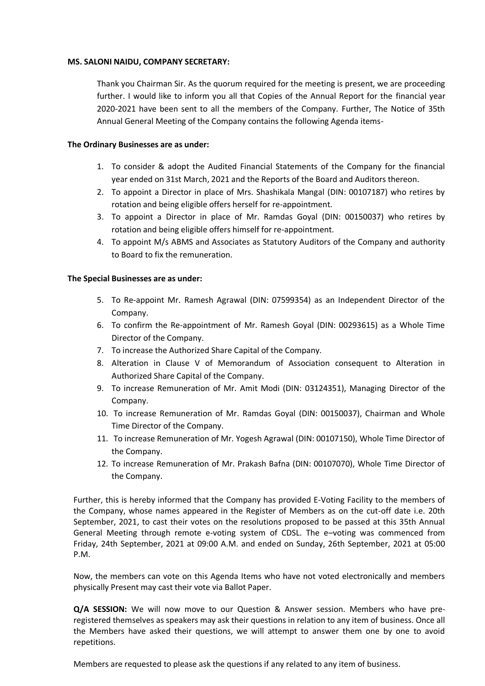#### **MS. SALONI NAIDU, COMPANY SECRETARY:**

Thank you Chairman Sir. As the quorum required for the meeting is present, we are proceeding further. I would like to inform you all that Copies of the Annual Report for the financial year 2020-2021 have been sent to all the members of the Company. Further, The Notice of 35th Annual General Meeting of the Company contains the following Agenda items-

## **The Ordinary Businesses are as under:**

- 1. To consider & adopt the Audited Financial Statements of the Company for the financial year ended on 31st March, 2021 and the Reports of the Board and Auditors thereon.
- 2. To appoint a Director in place of Mrs. Shashikala Mangal (DIN: 00107187) who retires by rotation and being eligible offers herself for re-appointment.
- 3. To appoint a Director in place of Mr. Ramdas Goyal (DIN: 00150037) who retires by rotation and being eligible offers himself for re-appointment.
- 4. To appoint M/s ABMS and Associates as Statutory Auditors of the Company and authority to Board to fix the remuneration.

#### **The Special Businesses are as under:**

- 5. To Re-appoint Mr. Ramesh Agrawal (DIN: 07599354) as an Independent Director of the Company.
- 6. To confirm the Re-appointment of Mr. Ramesh Goyal (DIN: 00293615) as a Whole Time Director of the Company.
- 7. To increase the Authorized Share Capital of the Company.
- 8. Alteration in Clause V of Memorandum of Association consequent to Alteration in Authorized Share Capital of the Company.
- 9. To increase Remuneration of Mr. Amit Modi (DIN: 03124351), Managing Director of the Company.
- 10. To increase Remuneration of Mr. Ramdas Goyal (DIN: 00150037), Chairman and Whole Time Director of the Company.
- 11. To increase Remuneration of Mr. Yogesh Agrawal (DIN: 00107150), Whole Time Director of the Company.
- 12. To increase Remuneration of Mr. Prakash Bafna (DIN: 00107070), Whole Time Director of the Company.

Further, this is hereby informed that the Company has provided E-Voting Facility to the members of the Company, whose names appeared in the Register of Members as on the cut-off date i.e. 20th September, 2021, to cast their votes on the resolutions proposed to be passed at this 35th Annual General Meeting through remote e-voting system of CDSL. The e–voting was commenced from Friday, 24th September, 2021 at 09:00 A.M. and ended on Sunday, 26th September, 2021 at 05:00 P.M.

Now, the members can vote on this Agenda Items who have not voted electronically and members physically Present may cast their vote via Ballot Paper.

**Q/A SESSION:** We will now move to our Question & Answer session. Members who have preregistered themselves as speakers may ask their questions in relation to any item of business. Once all the Members have asked their questions, we will attempt to answer them one by one to avoid repetitions.

Members are requested to please ask the questions if any related to any item of business.